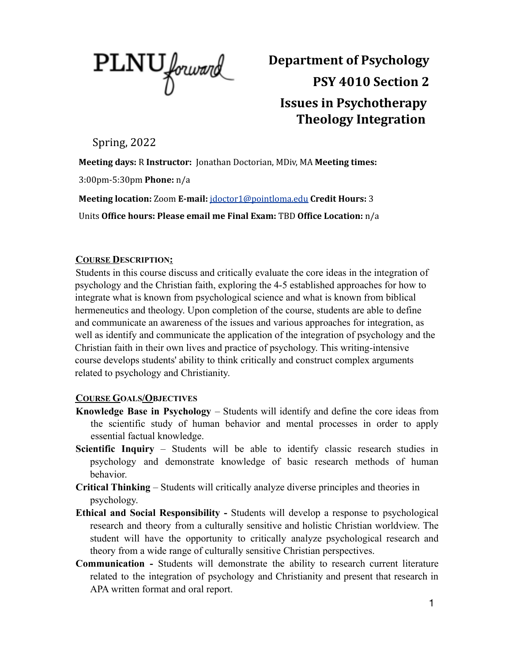

**Department of Psychology PSY 4010 Section 2 Issues in Psychotherapy Theology Integration**

Spring, 2022

**Meeting days:** R **Instructor:** Jonathan Doctorian, MDiv, MA **Meeting times:**

3:00pm-5:30pm **Phone:** n/a

**Meeting location:** Zoom **E-mail:** jdoctor1@pointloma.edu **Credit Hours:** 3

Units **Office hours: Please email me Final Exam:** TBD **Office Location:** n/a

### **COURSE DESCRIPTION:**

Students in this course discuss and critically evaluate the core ideas in the integration of psychology and the Christian faith, exploring the 4-5 established approaches for how to integrate what is known from psychological science and what is known from biblical hermeneutics and theology. Upon completion of the course, students are able to define and communicate an awareness of the issues and various approaches for integration, as well as identify and communicate the application of the integration of psychology and the Christian faith in their own lives and practice of psychology. This writing-intensive course develops students' ability to think critically and construct complex arguments related to psychology and Christianity.

### **COURSE GOALS/OBJECTIVES**

- **Knowledge Base in Psychology** Students will identify and define the core ideas from the scientific study of human behavior and mental processes in order to apply essential factual knowledge.
- **Scientific Inquiry** Students will be able to identify classic research studies in psychology and demonstrate knowledge of basic research methods of human behavior.
- **Critical Thinking** Students will critically analyze diverse principles and theories in psychology.
- **Ethical and Social Responsibility -** Students will develop a response to psychological research and theory from a culturally sensitive and holistic Christian worldview. The student will have the opportunity to critically analyze psychological research and theory from a wide range of culturally sensitive Christian perspectives.
- **Communication -** Students will demonstrate the ability to research current literature related to the integration of psychology and Christianity and present that research in APA written format and oral report.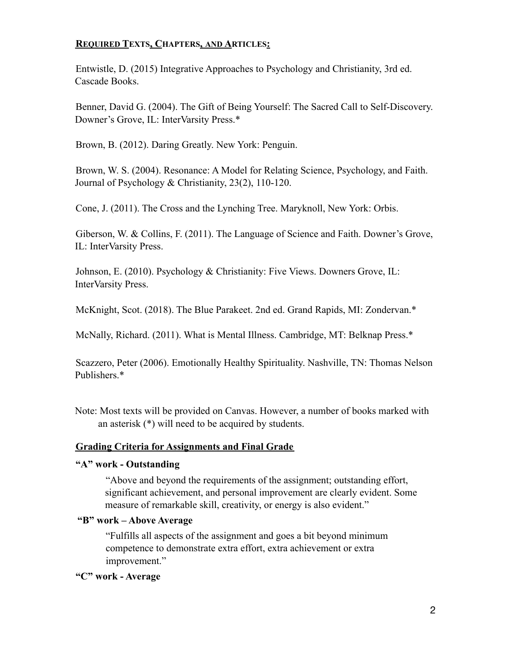# **REQUIRED TEXTS, CHAPTERS, AND ARTICLES:**

Entwistle, D. (2015) Integrative Approaches to Psychology and Christianity, 3rd ed. Cascade Books.

Benner, David G. (2004). The Gift of Being Yourself: The Sacred Call to Self-Discovery. Downer's Grove, IL: InterVarsity Press.\*

Brown, B. (2012). Daring Greatly. New York: Penguin.

Brown, W. S. (2004). Resonance: A Model for Relating Science, Psychology, and Faith. Journal of Psychology & Christianity, 23(2), 110-120.

Cone, J. (2011). The Cross and the Lynching Tree. Maryknoll, New York: Orbis.

Giberson, W. & Collins, F. (2011). The Language of Science and Faith. Downer's Grove, IL: InterVarsity Press.

Johnson, E. (2010). Psychology & Christianity: Five Views. Downers Grove, IL: InterVarsity Press.

McKnight, Scot. (2018). The Blue Parakeet. 2nd ed. Grand Rapids, MI: Zondervan.\*

McNally, Richard. (2011). What is Mental Illness. Cambridge, MT: Belknap Press.\*

Scazzero, Peter (2006). Emotionally Healthy Spirituality. Nashville, TN: Thomas Nelson Publishers<sup>\*</sup>

Note: Most texts will be provided on Canvas. However, a number of books marked with an asterisk (\*) will need to be acquired by students.

#### **Grading Criteria for Assignments and Final Grade**

#### **"A" work - Outstanding**

"Above and beyond the requirements of the assignment; outstanding effort, significant achievement, and personal improvement are clearly evident. Some measure of remarkable skill, creativity, or energy is also evident."

#### **"B" work – Above Average**

"Fulfills all aspects of the assignment and goes a bit beyond minimum competence to demonstrate extra effort, extra achievement or extra improvement."

#### **"C" work - Average**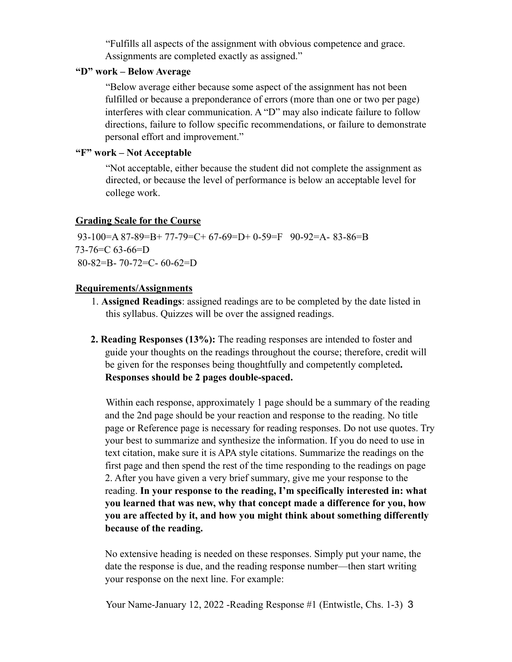"Fulfills all aspects of the assignment with obvious competence and grace. Assignments are completed exactly as assigned."

### **"D" work – Below Average**

"Below average either because some aspect of the assignment has not been fulfilled or because a preponderance of errors (more than one or two per page) interferes with clear communication. A "D" may also indicate failure to follow directions, failure to follow specific recommendations, or failure to demonstrate personal effort and improvement."

#### **"F" work – Not Acceptable**

"Not acceptable, either because the student did not complete the assignment as directed, or because the level of performance is below an acceptable level for college work.

#### **Grading Scale for the Course**

93-100=A 87-89=B+ 77-79=C+ 67-69=D+ 0-59=F 90-92=A- 83-86=B 73-76=C 63-66=D 80-82=B- 70-72=C- 60-62=D

#### **Requirements/Assignments**

- 1. **Assigned Readings**: assigned readings are to be completed by the date listed in this syllabus. Quizzes will be over the assigned readings.
- **2. Reading Responses (13%):** The reading responses are intended to foster and guide your thoughts on the readings throughout the course; therefore, credit will be given for the responses being thoughtfully and competently completed**. Responses should be 2 pages double-spaced.**

Within each response, approximately 1 page should be a summary of the reading and the 2nd page should be your reaction and response to the reading. No title page or Reference page is necessary for reading responses. Do not use quotes. Try your best to summarize and synthesize the information. If you do need to use in text citation, make sure it is APA style citations. Summarize the readings on the first page and then spend the rest of the time responding to the readings on page 2. After you have given a very brief summary, give me your response to the reading. **In your response to the reading, I'm specifically interested in: what you learned that was new, why that concept made a difference for you, how you are affected by it, and how you might think about something differently because of the reading.**

No extensive heading is needed on these responses. Simply put your name, the date the response is due, and the reading response number—then start writing your response on the next line. For example:

Your Name-January 12, 2022 -Reading Response #1 (Entwistle, Chs. 1-3) 3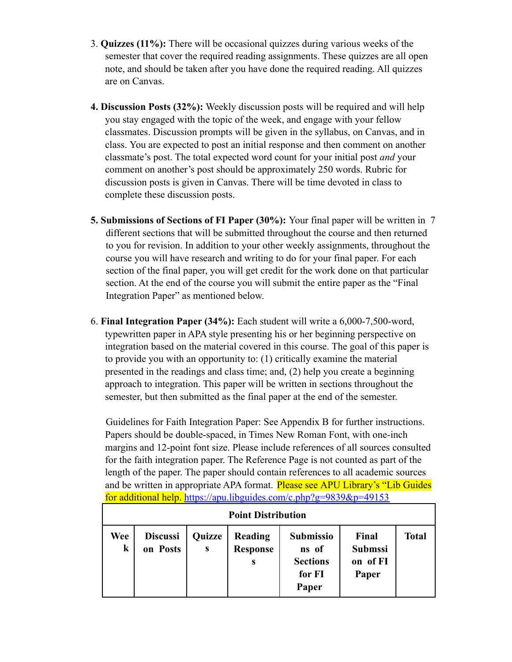- 3. **Quizzes (11%):** There will be occasional quizzes during various weeks of the semester that cover the required reading assignments. These quizzes are all open note, and should be taken after you have done the required reading. All quizzes are on Canvas.
- **4. Discussion Posts (32%):** Weekly discussion posts will be required and will help you stay engaged with the topic of the week, and engage with your fellow classmates. Discussion prompts will be given in the syllabus, on Canvas, and in class. You are expected to post an initial response and then comment on another classmate's post. The total expected word count for your initial post *and* your comment on another's post should be approximately 250 words. Rubric for discussion posts is given in Canvas. There will be time devoted in class to complete these discussion posts.
- **5. Submissions of Sections of FI Paper (30%):** Your final paper will be written in 7 different sections that will be submitted throughout the course and then returned to you for revision. In addition to your other weekly assignments, throughout the course you will have research and writing to do for your final paper. For each section of the final paper, you will get credit for the work done on that particular section. At the end of the course you will submit the entire paper as the "Final Integration Paper" as mentioned below.
- 6. **Final Integration Paper (34%):** Each student will write a 6,000-7,500-word, typewritten paper in APA style presenting his or her beginning perspective on integration based on the material covered in this course. The goal of this paper is to provide you with an opportunity to: (1) critically examine the material presented in the readings and class time; and, (2) help you create a beginning approach to integration. This paper will be written in sections throughout the semester, but then submitted as the final paper at the end of the semester.

Guidelines for Faith Integration Paper: See Appendix B for further instructions. Papers should be double-spaced, in Times New Roman Font, with one-inch margins and 12-point font size. Please include references of all sources consulted for the faith integration paper. The Reference Page is not counted as part of the length of the paper. The paper should contain references to all academic sources and be written in appropriate APA format. Please see APU Library's "Lib Guides for additional help. https://apu.libguides.com/c.php?g=9839&p=49153

|                | <b>Point Distribution</b>   |             |                                 |                                                          |                                              |              |  |
|----------------|-----------------------------|-------------|---------------------------------|----------------------------------------------------------|----------------------------------------------|--------------|--|
| Wee<br>$\bf k$ | <b>Discussi</b><br>on Posts | Quizze<br>S | Reading<br><b>Response</b><br>S | Submissio<br>ns of<br><b>Sections</b><br>for FI<br>Paper | Final<br><b>Submssi</b><br>on of FI<br>Paper | <b>Total</b> |  |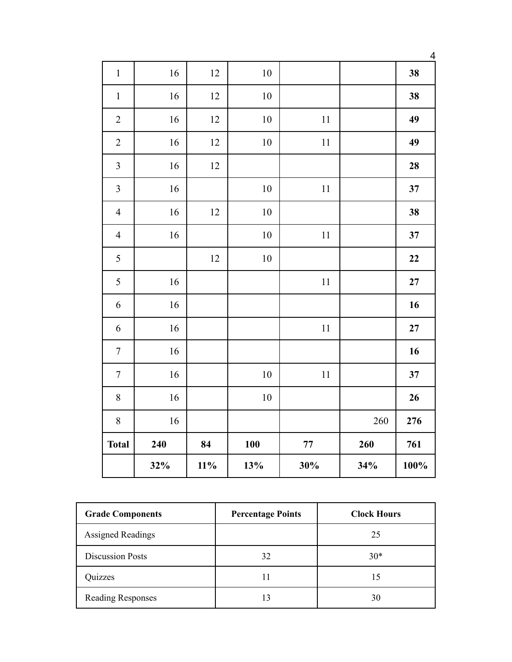|                  | 32% | $11\%$ | 13%        | 30%        | 34% | 100% |
|------------------|-----|--------|------------|------------|-----|------|
| <b>Total</b>     | 240 | 84     | <b>100</b> | ${\bf 77}$ | 260 | 761  |
| $8\,$            | 16  |        |            |            | 260 | 276  |
| $8\,$            | 16  |        | 10         |            |     | 26   |
| $\boldsymbol{7}$ | 16  |        | 10         | 11         |     | 37   |
| $\tau$           | 16  |        |            |            |     | 16   |
| 6                | 16  |        |            | 11         |     | 27   |
| 6                | 16  |        |            |            |     | 16   |
| 5                | 16  |        |            | 11         |     | 27   |
| 5                |     | 12     | 10         |            |     | 22   |
| $\overline{4}$   | 16  |        | 10         | 11         |     | 37   |
| $\overline{4}$   | 16  | 12     | 10         |            |     | 38   |
| $\overline{3}$   | 16  |        | 10         | 11         |     | 37   |
| $\overline{3}$   | 16  | 12     |            |            |     | 28   |
| $\overline{2}$   | 16  | 12     | 10         | 11         |     | 49   |
| $\overline{2}$   | 16  | 12     | 10         | 11         |     | 49   |
| $\mathbf{1}$     | 16  | 12     | 10         |            |     | 38   |
| $\mathbf{1}$     | 16  | 12     | 10         |            |     | 38   |

| <b>Grade Components</b>  | <b>Percentage Points</b> | <b>Clock Hours</b> |
|--------------------------|--------------------------|--------------------|
| <b>Assigned Readings</b> |                          | 25                 |
| <b>Discussion Posts</b>  | 32                       | $30*$              |
| Quizzes                  |                          | 15                 |
| <b>Reading Responses</b> |                          | 30                 |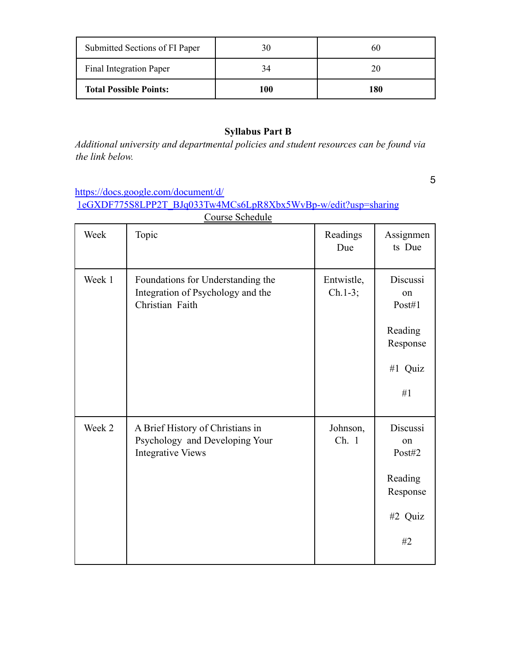| Submitted Sections of FI Paper |     | 60  |
|--------------------------------|-----|-----|
| Final Integration Paper        |     | 20  |
| <b>Total Possible Points:</b>  | 100 | 180 |

# **Syllabus Part B**

*Additional university and departmental policies and student resources can be found via the link below.*

5

# https://docs.google.com/document/d/

# 1eGXDF775S8LPP2T\_BJq033Tw4MCs6LpR8Xbx5WvBp-w/edit?usp=sharing Course Schedule

| Week   | Topic                                                                                          | Readings<br>Due         | Assignmen<br>ts Due                                                       |
|--------|------------------------------------------------------------------------------------------------|-------------------------|---------------------------------------------------------------------------|
| Week 1 | Foundations for Understanding the<br>Integration of Psychology and the<br>Christian Faith      | Entwistle,<br>$Ch.1-3;$ | Discussi<br>on<br>Post#1<br>Reading<br>Response<br>#1 Quiz<br>#1          |
| Week 2 | A Brief History of Christians in<br>Psychology and Developing Your<br><b>Integrative Views</b> | Johnson,<br>Ch. 1       | <b>Discussi</b><br>on<br>Post#2<br>Reading<br>Response<br>$#2$ Quiz<br>#2 |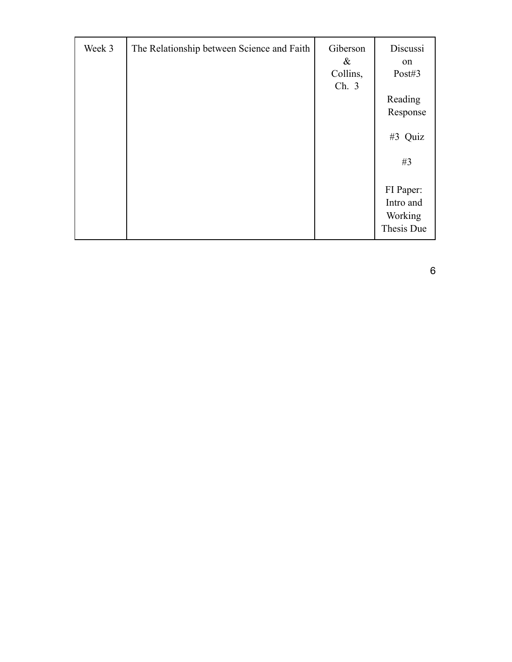| Week 3 | The Relationship between Science and Faith | Giberson<br>&<br>Collins,<br>Ch. 3 | Discussi<br>on<br>Post#3                        |
|--------|--------------------------------------------|------------------------------------|-------------------------------------------------|
|        |                                            |                                    | Reading<br>Response                             |
|        |                                            |                                    | #3 Quiz                                         |
|        |                                            |                                    | #3                                              |
|        |                                            |                                    | FI Paper:<br>Intro and<br>Working<br>Thesis Due |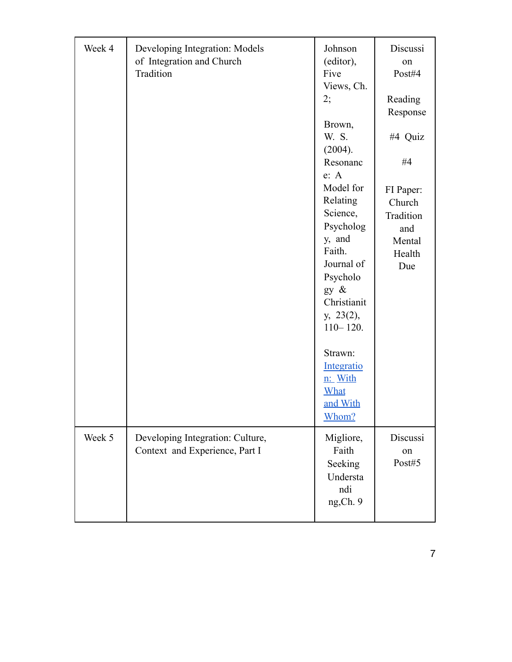| Week 4 | Developing Integration: Models<br>of Integration and Church<br>Tradition | Johnson<br>(editor),<br>Five<br>Views, Ch.<br>2;<br>Brown,<br>W. S.<br>(2004).<br>Resonanc<br>e: A<br>Model for<br>Relating<br>Science,<br>Psycholog<br>y, and<br>Faith.<br>Journal of<br>Psycholo<br>gy &<br>Christianit<br>y, 23(2),<br>$110 - 120$ .<br>Strawn:<br>Integratio<br>n: With<br><b>What</b><br>and With<br>Whom? | Discussi<br>on<br>Post#4<br>Reading<br>Response<br>#4 Quiz<br>#4<br>FI Paper:<br>Church<br>Tradition<br>and<br>Mental<br>Health<br>Due |
|--------|--------------------------------------------------------------------------|---------------------------------------------------------------------------------------------------------------------------------------------------------------------------------------------------------------------------------------------------------------------------------------------------------------------------------|----------------------------------------------------------------------------------------------------------------------------------------|
| Week 5 | Developing Integration: Culture,<br>Context and Experience, Part I       | Migliore,<br>Faith<br>Seeking<br>Understa<br>ndi<br>ng, Ch. 9                                                                                                                                                                                                                                                                   | Discussi<br>on<br>Post#5                                                                                                               |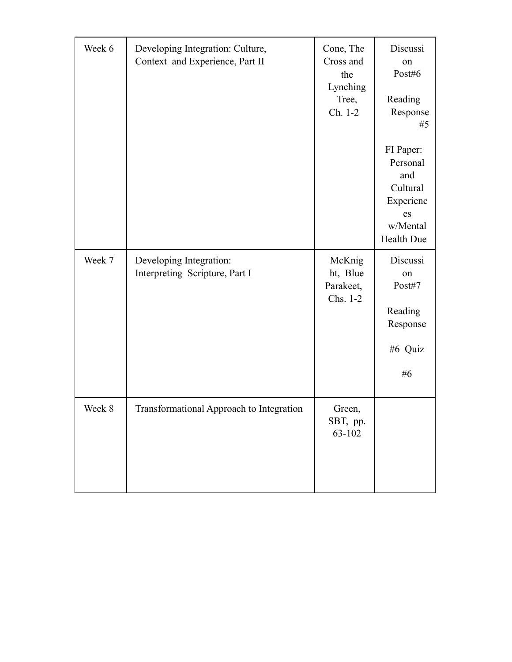| Week 6 | Developing Integration: Culture,<br>Context and Experience, Part II | Cone, The<br>Cross and<br>the<br>Lynching<br>Tree,<br>Ch. 1-2 | Discussi<br>on<br>Post#6<br>Reading<br>Response<br>#5                                 |
|--------|---------------------------------------------------------------------|---------------------------------------------------------------|---------------------------------------------------------------------------------------|
|        |                                                                     |                                                               | FI Paper:<br>Personal<br>and<br>Cultural<br>Experienc<br>es<br>w/Mental<br>Health Due |
| Week 7 | Developing Integration:<br>Interpreting Scripture, Part I           | McKnig<br>ht, Blue<br>Parakeet,<br>Chs. 1-2                   | Discussi<br>on<br>Post#7<br>Reading<br>Response<br>#6 Quiz<br>#6                      |
| Week 8 | Transformational Approach to Integration                            | Green,<br>SBT, pp.<br>63-102                                  |                                                                                       |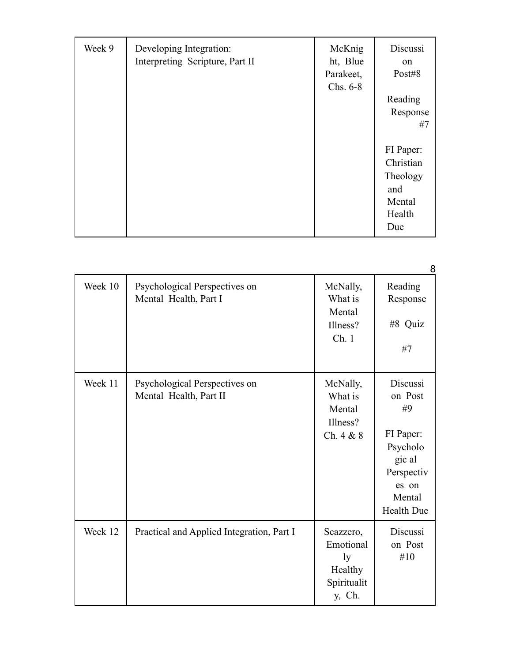| Week 9 | Developing Integration:<br>Interpreting Scripture, Part II | McKnig<br>ht, Blue<br>Parakeet,<br>Chs. 6-8 | Discussi<br><sub>on</sub><br>Post#8<br>Reading<br>Response<br>#7     |
|--------|------------------------------------------------------------|---------------------------------------------|----------------------------------------------------------------------|
|        |                                                            |                                             | FI Paper:<br>Christian<br>Theology<br>and<br>Mental<br>Health<br>Due |

|         |                                                         |                                                                  | 8                                                                                                           |
|---------|---------------------------------------------------------|------------------------------------------------------------------|-------------------------------------------------------------------------------------------------------------|
| Week 10 | Psychological Perspectives on<br>Mental Health, Part I  | McNally,<br>What is<br>Mental<br>Illness?<br>Ch.1                | Reading<br>Response<br>$#8$ Quiz<br>#7                                                                      |
| Week 11 | Psychological Perspectives on<br>Mental Health, Part II | McNally,<br>What is<br>Mental<br>Illness?<br>Ch. 4 & 8           | Discussi<br>on Post<br>#9<br>FI Paper:<br>Psycholo<br>gic al<br>Perspectiv<br>es on<br>Mental<br>Health Due |
| Week 12 | Practical and Applied Integration, Part I               | Scazzero,<br>Emotional<br>ly<br>Healthy<br>Spiritualit<br>y, Ch. | Discussi<br>on Post<br>#10                                                                                  |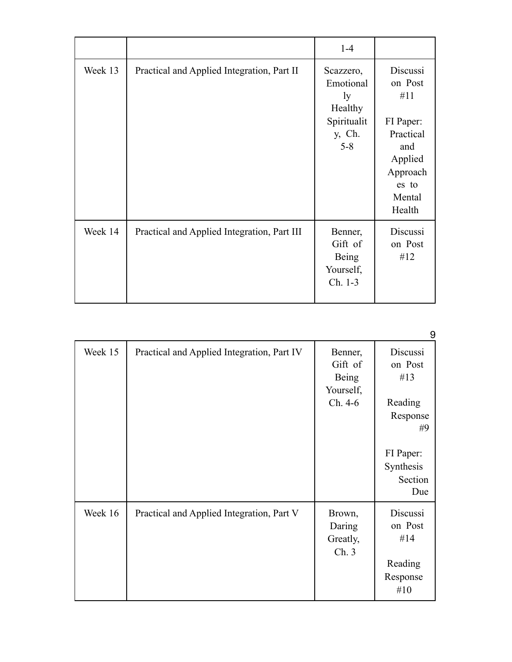|         |                                             | $1-4$                                                                       |                                                                                                                 |
|---------|---------------------------------------------|-----------------------------------------------------------------------------|-----------------------------------------------------------------------------------------------------------------|
| Week 13 | Practical and Applied Integration, Part II  | Scazzero,<br>Emotional<br>ly<br>Healthy<br>Spiritualit<br>y, Ch.<br>$5 - 8$ | Discussi<br>on Post<br>#11<br>FI Paper:<br>Practical<br>and<br>Applied<br>Approach<br>es to<br>Mental<br>Health |
| Week 14 | Practical and Applied Integration, Part III | Benner,<br>Gift of<br><b>Being</b><br>Yourself,<br>Ch. 1-3                  | Discussi<br>on Post<br>#12                                                                                      |

|         |                                            |                                                            | 9                                                                                                   |
|---------|--------------------------------------------|------------------------------------------------------------|-----------------------------------------------------------------------------------------------------|
| Week 15 | Practical and Applied Integration, Part IV | Benner,<br>Gift of<br><b>Being</b><br>Yourself,<br>Ch. 4-6 | Discussi<br>on Post<br>#13<br>Reading<br>Response<br>#9<br>FI Paper:<br>Synthesis<br>Section<br>Due |
| Week 16 | Practical and Applied Integration, Part V  | Brown,<br>Daring<br>Greatly,<br>Ch.3                       | Discussi<br>on Post<br>#14<br>Reading<br>Response<br>#10                                            |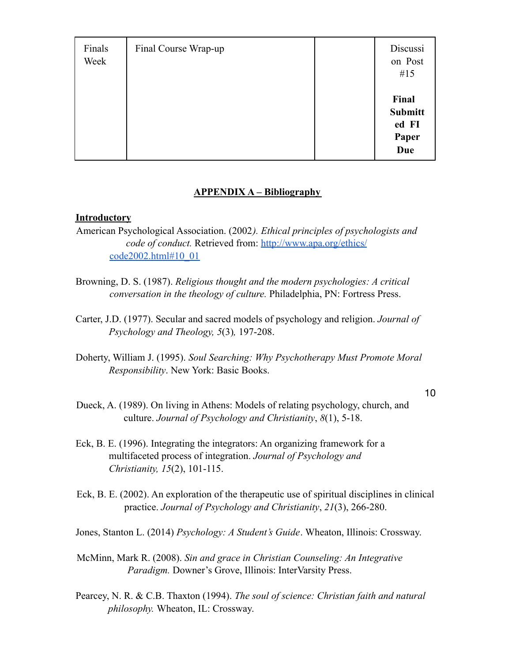| Finals<br>Week | Final Course Wrap-up | Discussi<br>on Post<br>#15                              |
|----------------|----------------------|---------------------------------------------------------|
|                |                      | Final<br><b>Submitt</b><br>ed FI<br>Paper<br><b>Due</b> |

### **APPENDIX A – Bibliography**

#### **Introductory**

- American Psychological Association. (2002*). Ethical principles of psychologists and code of conduct.* Retrieved from: http://www.apa.org/ethics/ code2002.html#10\_01
- Browning, D. S. (1987). *Religious thought and the modern psychologies: A critical conversation in the theology of culture.* Philadelphia, PN: Fortress Press.
- Carter, J.D. (1977). Secular and sacred models of psychology and religion. *Journal of Psychology and Theology, 5*(3)*,* 197-208.
- Doherty, William J. (1995). *Soul Searching: Why Psychotherapy Must Promote Moral Responsibility*. New York: Basic Books.

#### 10

- Dueck, A. (1989). On living in Athens: Models of relating psychology, church, and culture. *Journal of Psychology and Christianity*, *8*(1), 5-18.
- Eck, B. E. (1996). Integrating the integrators: An organizing framework for a multifaceted process of integration. *Journal of Psychology and Christianity, 15*(2), 101-115.
- Eck, B. E. (2002). An exploration of the therapeutic use of spiritual disciplines in clinical practice. *Journal of Psychology and Christianity*, *21*(3), 266-280.
- Jones, Stanton L. (2014) *Psychology: A Student's Guide*. Wheaton, Illinois: Crossway.
- McMinn, Mark R. (2008). *Sin and grace in Christian Counseling: An Integrative Paradigm.* Downer's Grove, Illinois: InterVarsity Press.
- Pearcey, N. R. & C.B. Thaxton (1994). *The soul of science: Christian faith and natural philosophy.* Wheaton, IL: Crossway.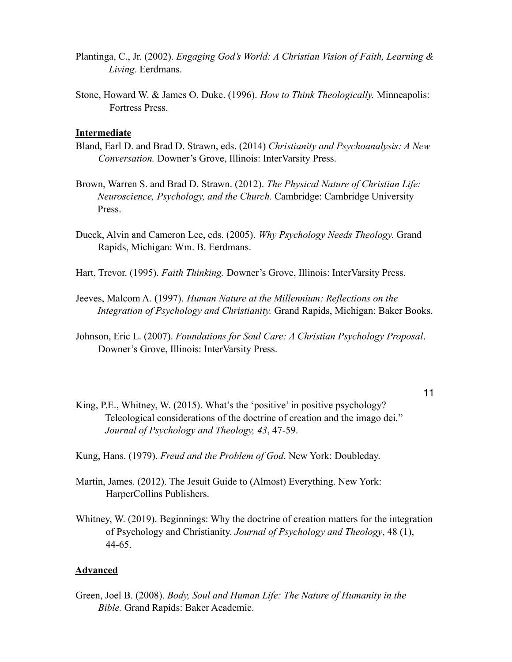- Plantinga, C., Jr. (2002). *Engaging God's World: A Christian Vision of Faith, Learning & Living.* Eerdmans.
- Stone, Howard W. & James O. Duke. (1996). *How to Think Theologically.* Minneapolis: Fortress Press.

#### **Intermediate**

- Bland, Earl D. and Brad D. Strawn, eds. (2014) *Christianity and Psychoanalysis: A New Conversation.* Downer's Grove, Illinois: InterVarsity Press.
- Brown, Warren S. and Brad D. Strawn. (2012). *The Physical Nature of Christian Life: Neuroscience, Psychology, and the Church.* Cambridge: Cambridge University Press.
- Dueck, Alvin and Cameron Lee, eds. (2005). *Why Psychology Needs Theology.* Grand Rapids, Michigan: Wm. B. Eerdmans.
- Hart, Trevor. (1995). *Faith Thinking.* Downer's Grove, Illinois: InterVarsity Press.
- Jeeves, Malcom A. (1997). *Human Nature at the Millennium: Reflections on the Integration of Psychology and Christianity.* Grand Rapids, Michigan: Baker Books.
- Johnson, Eric L. (2007). *Foundations for Soul Care: A Christian Psychology Proposal*. Downer's Grove, Illinois: InterVarsity Press.
	- 11
- King, P.E., Whitney, W. (2015). What's the 'positive' in positive psychology? Teleological considerations of the doctrine of creation and the imago dei*.*" *Journal of Psychology and Theology, 43*, 47-59.
- Kung, Hans. (1979). *Freud and the Problem of God*. New York: Doubleday.
- Martin, James. (2012). The Jesuit Guide to (Almost) Everything. New York: HarperCollins Publishers.
- Whitney, W. (2019). Beginnings: Why the doctrine of creation matters for the integration of Psychology and Christianity. *Journal of Psychology and Theology*, 48 (1), 44-65.

#### **Advanced**

Green, Joel B. (2008). *Body, Soul and Human Life: The Nature of Humanity in the Bible.* Grand Rapids: Baker Academic.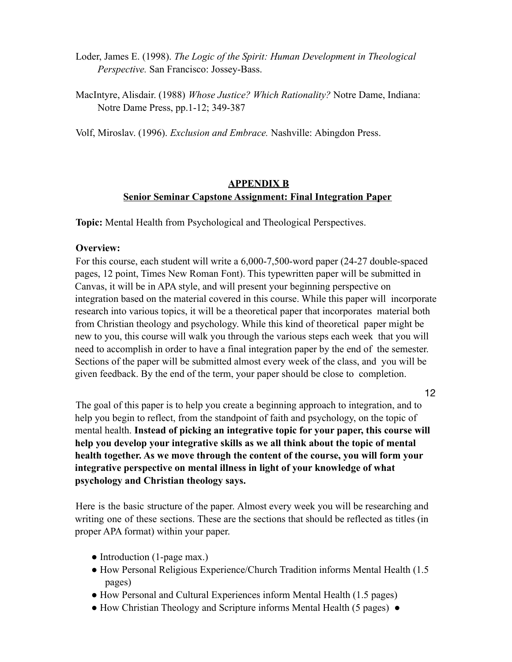- Loder, James E. (1998). *The Logic of the Spirit: Human Development in Theological Perspective.* San Francisco: Jossey-Bass.
- MacIntyre, Alisdair. (1988) *Whose Justice? Which Rationality?* Notre Dame, Indiana: Notre Dame Press, pp.1-12; 349-387

Volf, Miroslav. (1996). *Exclusion and Embrace.* Nashville: Abingdon Press.

## **APPENDIX B Senior Seminar Capstone Assignment: Final Integration Paper**

**Topic:** Mental Health from Psychological and Theological Perspectives.

#### **Overview:**

For this course, each student will write a 6,000-7,500-word paper (24-27 double-spaced pages, 12 point, Times New Roman Font). This typewritten paper will be submitted in Canvas, it will be in APA style, and will present your beginning perspective on integration based on the material covered in this course. While this paper will incorporate research into various topics, it will be a theoretical paper that incorporates material both from Christian theology and psychology. While this kind of theoretical paper might be new to you, this course will walk you through the various steps each week that you will need to accomplish in order to have a final integration paper by the end of the semester. Sections of the paper will be submitted almost every week of the class, and you will be given feedback. By the end of the term, your paper should be close to completion.

12

The goal of this paper is to help you create a beginning approach to integration, and to help you begin to reflect, from the standpoint of faith and psychology, on the topic of mental health. **Instead of picking an integrative topic for your paper, this course will help you develop your integrative skills as we all think about the topic of mental health together. As we move through the content of the course, you will form your integrative perspective on mental illness in light of your knowledge of what psychology and Christian theology says.**

Here is the basic structure of the paper. Almost every week you will be researching and writing one of these sections. These are the sections that should be reflected as titles (in proper APA format) within your paper.

- Introduction (1-page max.)
- How Personal Religious Experience/Church Tradition informs Mental Health (1.5 pages)
- How Personal and Cultural Experiences inform Mental Health (1.5 pages)
- How Christian Theology and Scripture informs Mental Health (5 pages) ●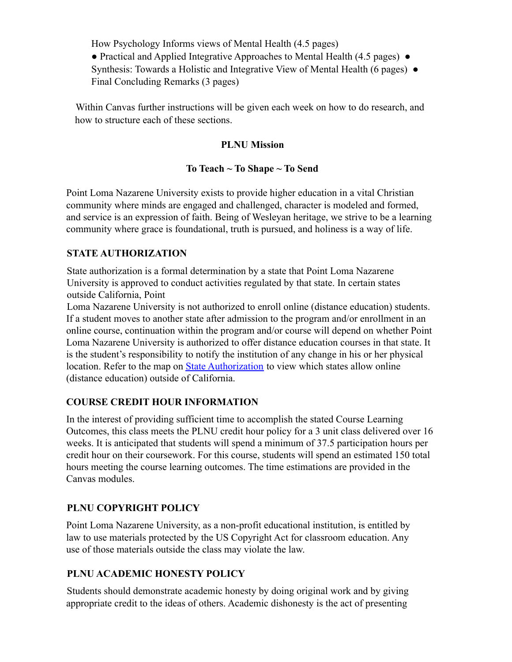How Psychology Informs views of Mental Health (4.5 pages)

● Practical and Applied Integrative Approaches to Mental Health (4.5 pages) ● Synthesis: Towards a Holistic and Integrative View of Mental Health (6 pages) ● Final Concluding Remarks (3 pages)

Within Canvas further instructions will be given each week on how to do research, and how to structure each of these sections.

# **PLNU Mission**

# **To Teach ~ To Shape ~ To Send**

Point Loma Nazarene University exists to provide higher education in a vital Christian community where minds are engaged and challenged, character is modeled and formed, and service is an expression of faith. Being of Wesleyan heritage, we strive to be a learning community where grace is foundational, truth is pursued, and holiness is a way of life.

## **STATE AUTHORIZATION**

State authorization is a formal determination by a state that Point Loma Nazarene University is approved to conduct activities regulated by that state. In certain states outside California, Point

Loma Nazarene University is not authorized to enroll online (distance education) students. If a student moves to another state after admission to the program and/or enrollment in an online course, continuation within the program and/or course will depend on whether Point Loma Nazarene University is authorized to offer distance education courses in that state. It is the student's responsibility to notify the institution of any change in his or her physical location. Refer to the map on **State Authorization** to view which states allow online (distance education) outside of California.

# **COURSE CREDIT HOUR INFORMATION**

In the interest of providing sufficient time to accomplish the stated Course Learning Outcomes, this class meets the PLNU credit hour policy for a 3 unit class delivered over 16 weeks. It is anticipated that students will spend a minimum of 37.5 participation hours per credit hour on their coursework. For this course, students will spend an estimated 150 total hours meeting the course learning outcomes. The time estimations are provided in the Canvas modules.

# **PLNU COPYRIGHT POLICY**

Point Loma Nazarene University, as a non-profit educational institution, is entitled by law to use materials protected by the US Copyright Act for classroom education. Any use of those materials outside the class may violate the law.

# **PLNU ACADEMIC HONESTY POLICY**

Students should demonstrate academic honesty by doing original work and by giving appropriate credit to the ideas of others. Academic dishonesty is the act of presenting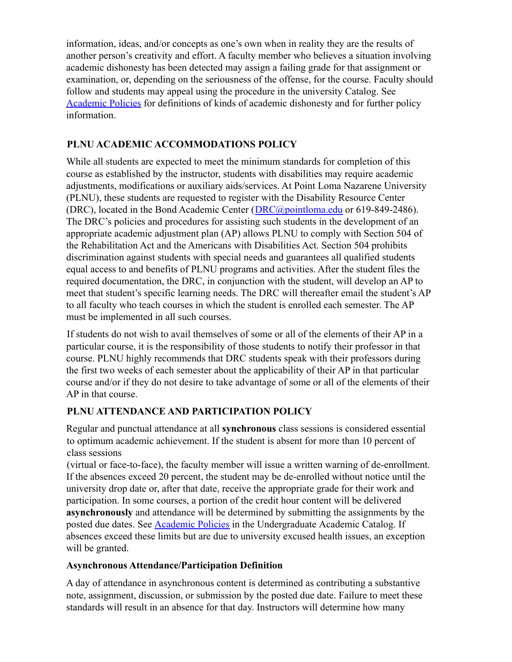information, ideas, and/or concepts as one's own when in reality they are the results of another person's creativity and effort. A faculty member who believes a situation involving academic dishonesty has been detected may assign a failing grade for that assignment or examination, or, depending on the seriousness of the offense, for the course. Faculty should follow and students may appeal using the procedure in the university Catalog. See Academic Policies for definitions of kinds of academic dishonesty and for further policy information.

## **PLNU ACADEMIC ACCOMMODATIONS POLICY**

While all students are expected to meet the minimum standards for completion of this course as established by the instructor, students with disabilities may require academic adjustments, modifications or auxiliary aids/services. At Point Loma Nazarene University (PLNU), these students are requested to register with the Disability Resource Center (DRC), located in the Bond Academic Center (DRC@pointloma.edu or 619-849-2486). The DRC's policies and procedures for assisting such students in the development of an appropriate academic adjustment plan (AP) allows PLNU to comply with Section 504 of the Rehabilitation Act and the Americans with Disabilities Act. Section 504 prohibits discrimination against students with special needs and guarantees all qualified students equal access to and benefits of PLNU programs and activities. After the student files the required documentation, the DRC, in conjunction with the student, will develop an AP to meet that student's specific learning needs. The DRC will thereafter email the student's AP to all faculty who teach courses in which the student is enrolled each semester. The AP must be implemented in all such courses.

If students do not wish to avail themselves of some or all of the elements of their AP in a particular course, it is the responsibility of those students to notify their professor in that course. PLNU highly recommends that DRC students speak with their professors during the first two weeks of each semester about the applicability of their AP in that particular course and/or if they do not desire to take advantage of some or all of the elements of their AP in that course.

# **PLNU ATTENDANCE AND PARTICIPATION POLICY**

Regular and punctual attendance at all **synchronous** class sessions is considered essential to optimum academic achievement. If the student is absent for more than 10 percent of class sessions

(virtual or face-to-face), the faculty member will issue a written warning of de-enrollment. If the absences exceed 20 percent, the student may be de-enrolled without notice until the university drop date or, after that date, receive the appropriate grade for their work and participation. In some courses, a portion of the credit hour content will be delivered **asynchronously** and attendance will be determined by submitting the assignments by the posted due dates. See Academic Policies in the Undergraduate Academic Catalog. If absences exceed these limits but are due to university excused health issues, an exception will be granted.

### **Asynchronous Attendance/Participation Definition**

A day of attendance in asynchronous content is determined as contributing a substantive note, assignment, discussion, or submission by the posted due date. Failure to meet these standards will result in an absence for that day. Instructors will determine how many